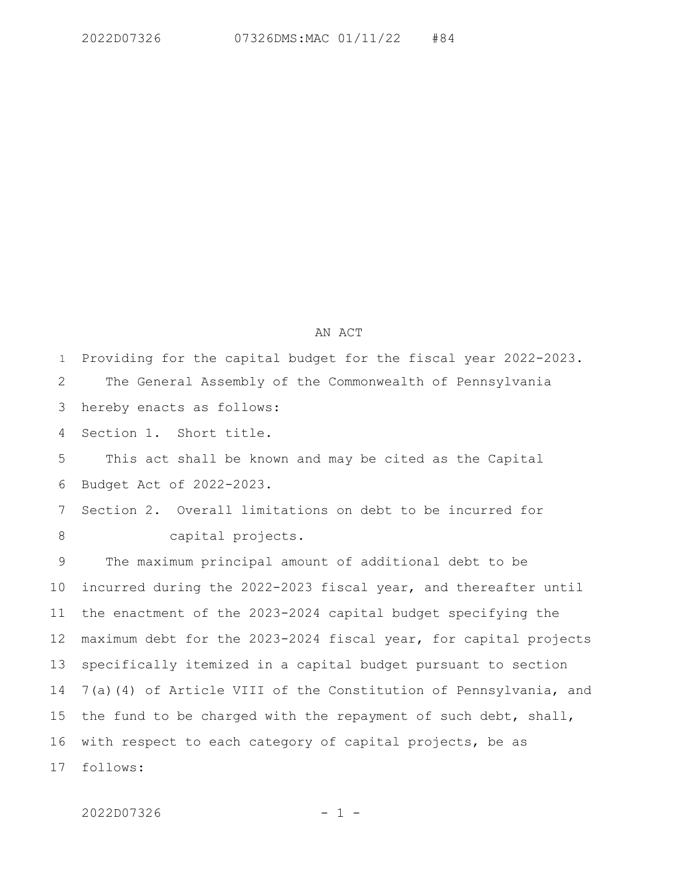## AN ACT

Providing for the capital budget for the fiscal year 2022-2023. The General Assembly of the Commonwealth of Pennsylvania hereby enacts as follows: Section 1. Short title. 1 2 3 4

This act shall be known and may be cited as the Capital Budget Act of 2022-2023. 5 6

Section 2. Overall limitations on debt to be incurred for capital projects. 7 8

The maximum principal amount of additional debt to be incurred during the 2022-2023 fiscal year, and thereafter until the enactment of the 2023-2024 capital budget specifying the maximum debt for the 2023-2024 fiscal year, for capital projects specifically itemized in a capital budget pursuant to section 7(a)(4) of Article VIII of the Constitution of Pennsylvania, and the fund to be charged with the repayment of such debt, shall, with respect to each category of capital projects, be as follows: 9 10 11 12 13 14 15 16 17

2022D07326 - 1 -